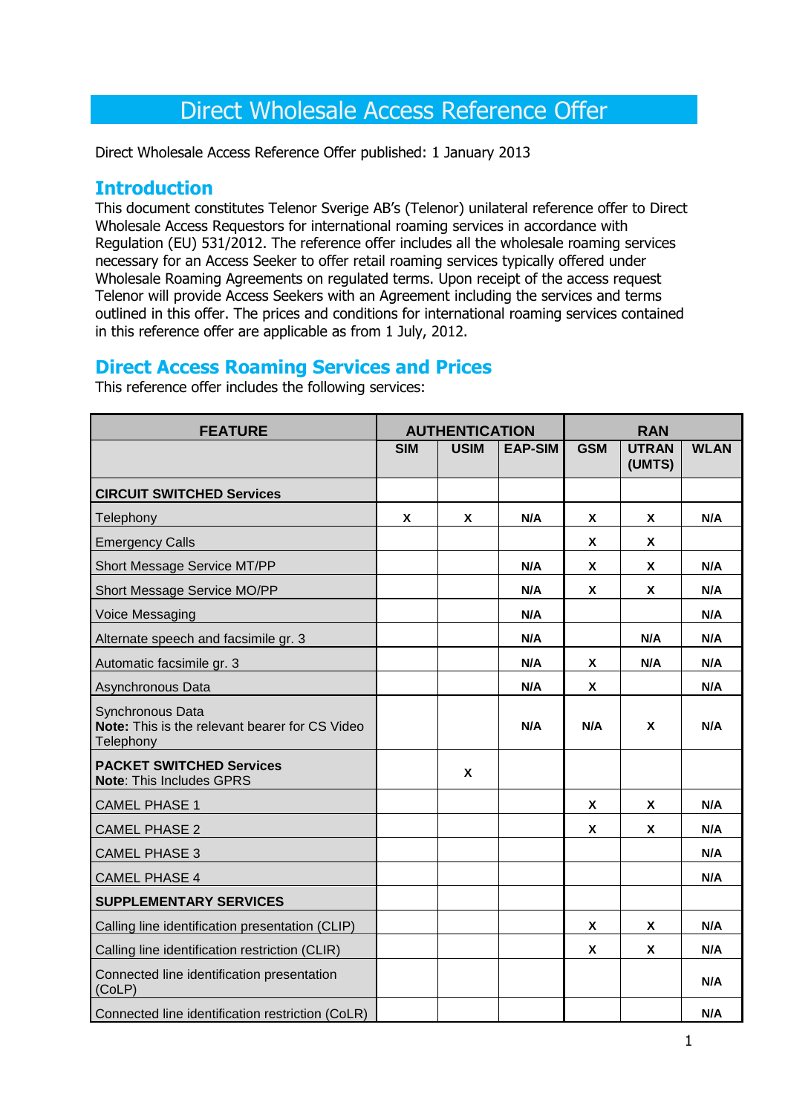# Direct Wholesale Access Reference Offer

Direct Wholesale Access Reference Offer published: 1 January 2013

## **Introduction**

This document constitutes Telenor Sverige AB's (Telenor) unilateral reference offer to Direct Wholesale Access Requestors for international roaming services in accordance with Regulation (EU) 531/2012. The reference offer includes all the wholesale roaming services necessary for an Access Seeker to offer retail roaming services typically offered under Wholesale Roaming Agreements on regulated terms. Upon receipt of the access request Telenor will provide Access Seekers with an Agreement including the services and terms outlined in this offer. The prices and conditions for international roaming services contained in this reference offer are applicable as from 1 July, 2012.

## **Direct Access Roaming Services and Prices**

This reference offer includes the following services:

| <b>FEATURE</b>                                                                  | <b>AUTHENTICATION</b> |             | <b>RAN</b>     |              |                        |             |
|---------------------------------------------------------------------------------|-----------------------|-------------|----------------|--------------|------------------------|-------------|
|                                                                                 | <b>SIM</b>            | <b>USIM</b> | <b>EAP-SIM</b> | <b>GSM</b>   | <b>UTRAN</b><br>(UMTS) | <b>WLAN</b> |
| <b>CIRCUIT SWITCHED Services</b>                                                |                       |             |                |              |                        |             |
| Telephony                                                                       | X                     | X           | N/A            | $\mathsf{x}$ | <b>X</b>               | N/A         |
| <b>Emergency Calls</b>                                                          |                       |             |                | <b>X</b>     | X                      |             |
| Short Message Service MT/PP                                                     |                       |             | N/A            | X            | X                      | N/A         |
| Short Message Service MO/PP                                                     |                       |             | N/A            | $\mathsf{x}$ | X                      | N/A         |
| Voice Messaging                                                                 |                       |             | N/A            |              |                        | N/A         |
| Alternate speech and facsimile gr. 3                                            |                       |             | N/A            |              | N/A                    | N/A         |
| Automatic facsimile gr. 3                                                       |                       |             | N/A            | X            | N/A                    | N/A         |
| Asynchronous Data                                                               |                       |             | N/A            | <b>X</b>     |                        | N/A         |
| Synchronous Data<br>Note: This is the relevant bearer for CS Video<br>Telephony |                       |             | N/A            | N/A          | X                      | N/A         |
| <b>PACKET SWITCHED Services</b><br>Note: This Includes GPRS                     |                       | X           |                |              |                        |             |
| <b>CAMEL PHASE 1</b>                                                            |                       |             |                | X            | X                      | N/A         |
| <b>CAMEL PHASE 2</b>                                                            |                       |             |                | X            | X                      | N/A         |
| <b>CAMEL PHASE 3</b>                                                            |                       |             |                |              |                        | N/A         |
| <b>CAMEL PHASE 4</b>                                                            |                       |             |                |              |                        | N/A         |
| <b>SUPPLEMENTARY SERVICES</b>                                                   |                       |             |                |              |                        |             |
| Calling line identification presentation (CLIP)                                 |                       |             |                | X            | X                      | N/A         |
| Calling line identification restriction (CLIR)                                  |                       |             |                | X            | X                      | N/A         |
| Connected line identification presentation<br>(CoLP)                            |                       |             |                |              |                        | N/A         |
| Connected line identification restriction (CoLR)                                |                       |             |                |              |                        | N/A         |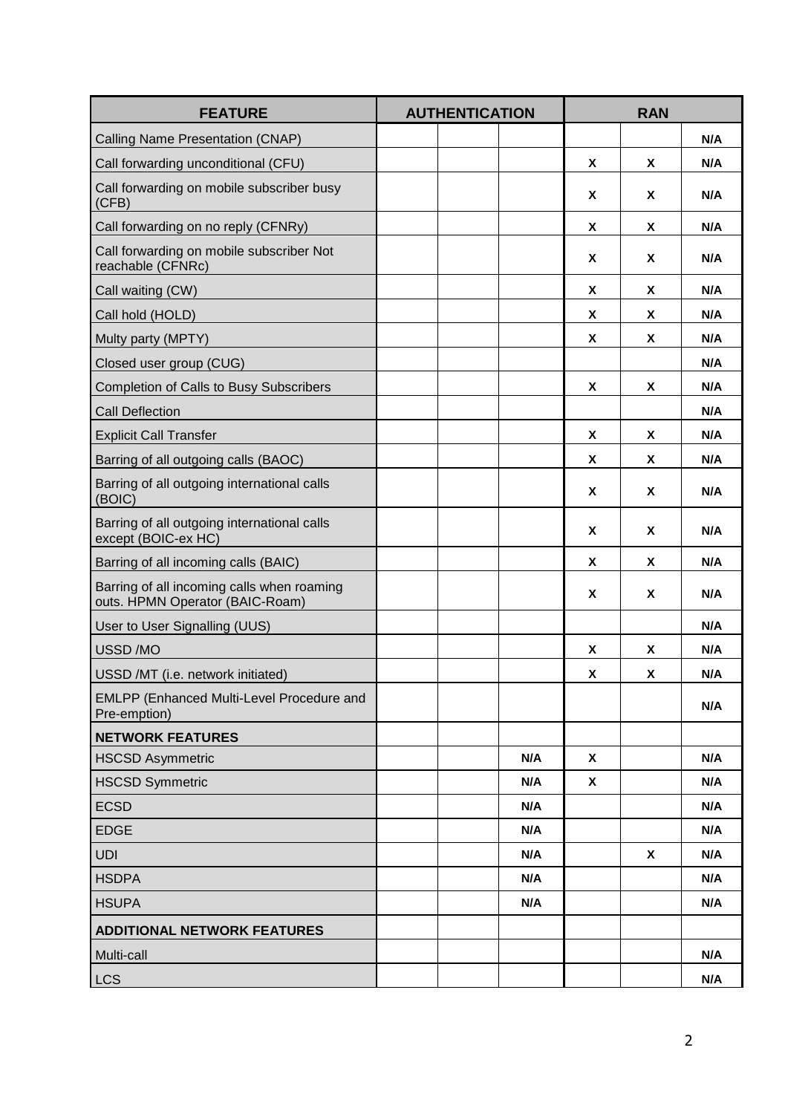| <b>FEATURE</b>                                                                | <b>AUTHENTICATION</b> |  | <b>RAN</b> |             |   |     |
|-------------------------------------------------------------------------------|-----------------------|--|------------|-------------|---|-----|
| Calling Name Presentation (CNAP)                                              |                       |  |            |             |   | N/A |
| Call forwarding unconditional (CFU)                                           |                       |  |            | X.          | X | N/A |
| Call forwarding on mobile subscriber busy<br>(CFB)                            |                       |  |            | X           | X | N/A |
| Call forwarding on no reply (CFNRy)                                           |                       |  |            | X           | X | N/A |
| Call forwarding on mobile subscriber Not<br>reachable (CFNRc)                 |                       |  |            | X           | X | N/A |
| Call waiting (CW)                                                             |                       |  |            | X           | X | N/A |
| Call hold (HOLD)                                                              |                       |  |            | X           | X | N/A |
| Multy party (MPTY)                                                            |                       |  |            | X           | X | N/A |
| Closed user group (CUG)                                                       |                       |  |            |             |   | N/A |
| Completion of Calls to Busy Subscribers                                       |                       |  |            | X           | X | N/A |
| <b>Call Deflection</b>                                                        |                       |  |            |             |   | N/A |
| <b>Explicit Call Transfer</b>                                                 |                       |  |            | X           | X | N/A |
| Barring of all outgoing calls (BAOC)                                          |                       |  |            | X           | X | N/A |
| Barring of all outgoing international calls<br>(BOIC)                         |                       |  |            | $\mathbf x$ | X | N/A |
| Barring of all outgoing international calls<br>except (BOIC-ex HC)            |                       |  |            | X           | X | N/A |
| Barring of all incoming calls (BAIC)                                          |                       |  |            | <b>X</b>    | X | N/A |
| Barring of all incoming calls when roaming<br>outs. HPMN Operator (BAIC-Roam) |                       |  |            | X           | X | N/A |
| User to User Signalling (UUS)                                                 |                       |  |            |             |   | N/A |
| USSD/MO                                                                       |                       |  |            | X           | X | N/A |
| USSD /MT (i.e. network initiated)                                             |                       |  |            | X           | X | N/A |
| EMLPP (Enhanced Multi-Level Procedure and<br>Pre-emption)                     |                       |  |            |             |   | N/A |
| <b>NETWORK FEATURES</b>                                                       |                       |  |            |             |   |     |
| <b>HSCSD Asymmetric</b>                                                       |                       |  | N/A        | X           |   | N/A |
| <b>HSCSD Symmetric</b>                                                        |                       |  | N/A        | X           |   | N/A |
| <b>ECSD</b>                                                                   |                       |  | N/A        |             |   | N/A |
| <b>EDGE</b>                                                                   |                       |  | N/A        |             |   | N/A |
| <b>UDI</b>                                                                    |                       |  | N/A        |             | X | N/A |
| <b>HSDPA</b>                                                                  |                       |  | N/A        |             |   | N/A |
| <b>HSUPA</b>                                                                  |                       |  | N/A        |             |   | N/A |
| <b>ADDITIONAL NETWORK FEATURES</b>                                            |                       |  |            |             |   |     |
| Multi-call                                                                    |                       |  |            |             |   | N/A |
| <b>LCS</b>                                                                    |                       |  |            |             |   | N/A |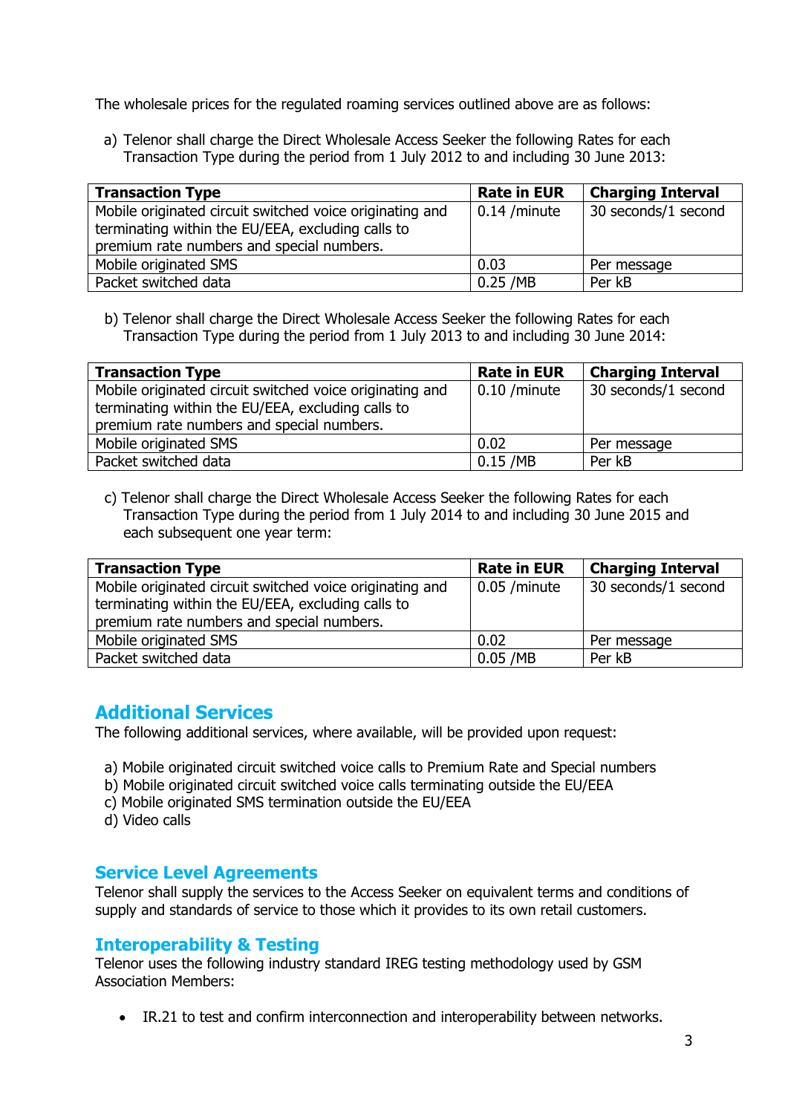The wholesale prices for the regulated roaming services outlined above are as follows:

a) Telenor shall charge the Direct Wholesale Access Seeker the following Rates for each Transaction Type during the period from 1 July 2012 to and including 30 June 2013:

| <b>Transaction Type</b>                                  | <b>Rate in EUR</b> | <b>Charging Interval</b> |
|----------------------------------------------------------|--------------------|--------------------------|
| Mobile originated circuit switched voice originating and | $0.14$ /minute     | 30 seconds/1 second      |
| terminating within the EU/EEA, excluding calls to        |                    |                          |
| premium rate numbers and special numbers.                |                    |                          |
| Mobile originated SMS                                    | 0.03               | Per message              |
| Packet switched data                                     | $0.25$ /MB         | Per kB                   |

b) Telenor shall charge the Direct Wholesale Access Seeker the following Rates for each Transaction Type during the period from 1 July 2013 to and including 30 June 2014:

| <b>Transaction Type</b>                                  | <b>Rate in EUR</b>   | <b>Charging Interval</b> |
|----------------------------------------------------------|----------------------|--------------------------|
| Mobile originated circuit switched voice originating and | $\vert$ 0.10 /minute | 30 seconds/1 second      |
| terminating within the EU/EEA, excluding calls to        |                      |                          |
| premium rate numbers and special numbers.                |                      |                          |
| Mobile originated SMS                                    | 0.02                 | Per message              |
| Packet switched data                                     | $0.15$ /MB           | Per kB                   |

c) Telenor shall charge the Direct Wholesale Access Seeker the following Rates for each Transaction Type during the period from 1 July 2014 to and including 30 June 2015 and each subsequent one year term:

| <b>Transaction Type</b>                                  | <b>Rate in EUR</b> | <b>Charging Interval</b> |
|----------------------------------------------------------|--------------------|--------------------------|
| Mobile originated circuit switched voice originating and | $0.05$ /minute     | 30 seconds/1 second      |
| terminating within the EU/EEA, excluding calls to        |                    |                          |
| premium rate numbers and special numbers.                |                    |                          |
| Mobile originated SMS                                    | 0.02               | Per message              |
| Packet switched data                                     | $0.05$ /MB         | Per kB                   |

# **Additional Services**

The following additional services, where available, will be provided upon request:

- a) Mobile originated circuit switched voice calls to Premium Rate and Special numbers
- b) Mobile originated circuit switched voice calls terminating outside the EU/EEA
- c) Mobile originated SMS termination outside the EU/EEA
- d) Video calls

### **Service Level Agreements**

Telenor shall supply the services to the Access Seeker on equivalent terms and conditions of supply and standards of service to those which it provides to its own retail customers.

#### **Interoperability & Testing**

Telenor uses the following industry standard IREG testing methodology used by GSM Association Members:

IR.21 to test and confirm interconnection and interoperability between networks.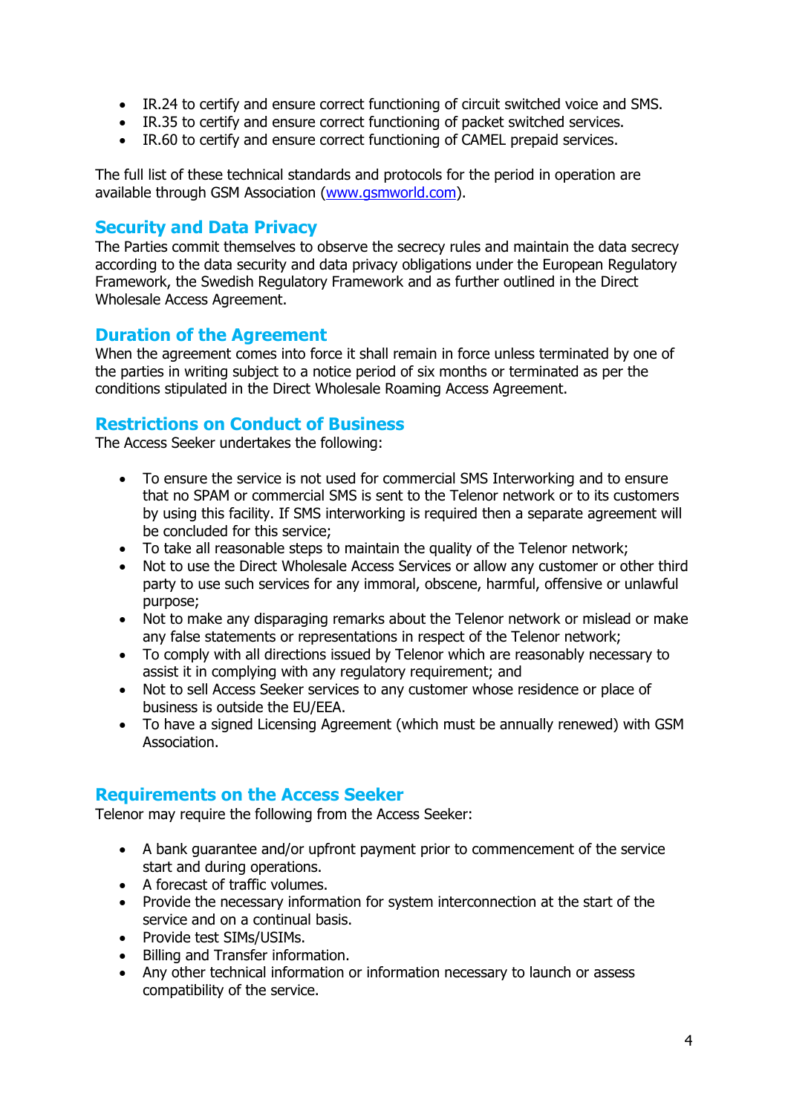- IR.24 to certify and ensure correct functioning of circuit switched voice and SMS.
- IR.35 to certify and ensure correct functioning of packet switched services.
- IR.60 to certify and ensure correct functioning of CAMEL prepaid services.

The full list of these technical standards and protocols for the period in operation are available through GSM Association [\(www.gsmworld.com\)](http://www.gsmworld.com/).

#### **Security and Data Privacy**

The Parties commit themselves to observe the secrecy rules and maintain the data secrecy according to the data security and data privacy obligations under the European Regulatory Framework, the Swedish Regulatory Framework and as further outlined in the Direct Wholesale Access Agreement.

### **Duration of the Agreement**

When the agreement comes into force it shall remain in force unless terminated by one of the parties in writing subject to a notice period of six months or terminated as per the conditions stipulated in the Direct Wholesale Roaming Access Agreement.

#### **Restrictions on Conduct of Business**

The Access Seeker undertakes the following:

- To ensure the service is not used for commercial SMS Interworking and to ensure that no SPAM or commercial SMS is sent to the Telenor network or to its customers by using this facility. If SMS interworking is required then a separate agreement will be concluded for this service;
- To take all reasonable steps to maintain the quality of the Telenor network;
- Not to use the Direct Wholesale Access Services or allow any customer or other third party to use such services for any immoral, obscene, harmful, offensive or unlawful purpose;
- Not to make any disparaging remarks about the Telenor network or mislead or make any false statements or representations in respect of the Telenor network;
- To comply with all directions issued by Telenor which are reasonably necessary to assist it in complying with any regulatory requirement; and
- Not to sell Access Seeker services to any customer whose residence or place of business is outside the EU/EEA.
- To have a signed Licensing Agreement (which must be annually renewed) with GSM Association.

#### **Requirements on the Access Seeker**

Telenor may require the following from the Access Seeker:

- A bank guarantee and/or upfront payment prior to commencement of the service start and during operations.
- A forecast of traffic volumes.
- Provide the necessary information for system interconnection at the start of the service and on a continual basis.
- Provide test SIMs/USIMs.
- Billing and Transfer information.
- Any other technical information or information necessary to launch or assess compatibility of the service.